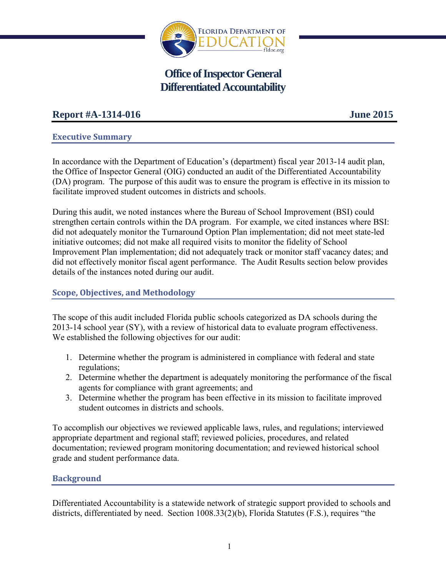

# **Office of Inspector General Differentiated Accountability**

## **Report #A-1314-016 June 2015**

## **Executive Summary**

In accordance with the Department of Education's (department) fiscal year 2013-14 audit plan, the Office of Inspector General (OIG) conducted an audit of the Differentiated Accountability (DA) program. The purpose of this audit was to ensure the program is effective in its mission to facilitate improved student outcomes in districts and schools.

During this audit, we noted instances where the Bureau of School Improvement (BSI) could strengthen certain controls within the DA program. For example, we cited instances where BSI: did not adequately monitor the Turnaround Option Plan implementation; did not meet state-led initiative outcomes; did not make all required visits to monitor the fidelity of School Improvement Plan implementation; did not adequately track or monitor staff vacancy dates; and did not effectively monitor fiscal agent performance. The Audit Results section below provides details of the instances noted during our audit.

## **Scope, Objectives, and Methodology**

The scope of this audit included Florida public schools categorized as DA schools during the 2013-14 school year (SY), with a review of historical data to evaluate program effectiveness. We established the following objectives for our audit:

- 1. Determine whether the program is administered in compliance with federal and state regulations;
- 2. Determine whether the department is adequately monitoring the performance of the fiscal agents for compliance with grant agreements; and
- 3. Determine whether the program has been effective in its mission to facilitate improved student outcomes in districts and schools.

To accomplish our objectives we reviewed applicable laws, rules, and regulations; interviewed appropriate department and regional staff; reviewed policies, procedures, and related documentation; reviewed program monitoring documentation; and reviewed historical school grade and student performance data.

## **Background**

Differentiated Accountability is a statewide network of strategic support provided to schools and districts, differentiated by need. Section 1008.33(2)(b), Florida Statutes (F.S.), requires "the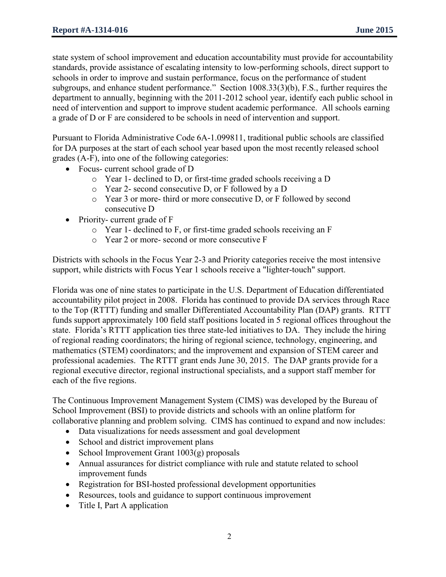state system of school improvement and education accountability must provide for accountability standards, provide assistance of escalating intensity to low-performing schools, direct support to schools in order to improve and sustain performance, focus on the performance of student subgroups, and enhance student performance." Section 1008.33(3)(b), F.S., further requires the department to annually, beginning with the 2011-2012 school year, identify each public school in need of intervention and support to improve student academic performance. All schools earning a grade of D or F are considered to be schools in need of intervention and support.

Pursuant to Florida Administrative Code 6A-1.099811, traditional public schools are classified for DA purposes at the start of each school year based upon the most recently released school grades (A-F), into one of the following categories:

- Focus- current school grade of D
	- o Year 1- declined to D, or first-time graded schools receiving a D
	- o Year 2- second consecutive D, or F followed by a D
	- o Year 3 or more- third or more consecutive D, or F followed by second consecutive D
- Priority- current grade of F
	- o Year 1- declined to F, or first-time graded schools receiving an F
	- o Year 2 or more- second or more consecutive F

Districts with schools in the Focus Year 2-3 and Priority categories receive the most intensive support, while districts with Focus Year 1 schools receive a "lighter-touch" support.

Florida was one of nine states to participate in the U.S. Department of Education differentiated accountability pilot project in 2008. Florida has continued to provide DA services through Race to the Top (RTTT) funding and smaller Differentiated Accountability Plan (DAP) grants. RTTT funds support approximately 100 field staff positions located in 5 regional offices throughout the state. Florida's RTTT application ties three state-led initiatives to DA. They include the hiring of regional reading coordinators; the hiring of regional science, technology, engineering, and mathematics (STEM) coordinators; and the improvement and expansion of STEM career and professional academies. The RTTT grant ends June 30, 2015. The DAP grants provide for a regional executive director, regional instructional specialists, and a support staff member for each of the five regions.

The Continuous Improvement Management System (CIMS) was developed by the Bureau of School Improvement (BSI) to provide districts and schools with an online platform for collaborative planning and problem solving. CIMS has continued to expand and now includes:

- Data visualizations for needs assessment and goal development
- School and district improvement plans
- School Improvement Grant  $1003(g)$  proposals
- Annual assurances for district compliance with rule and statute related to school improvement funds
- Registration for BSI-hosted professional development opportunities
- Resources, tools and guidance to support continuous improvement
- Title I, Part A application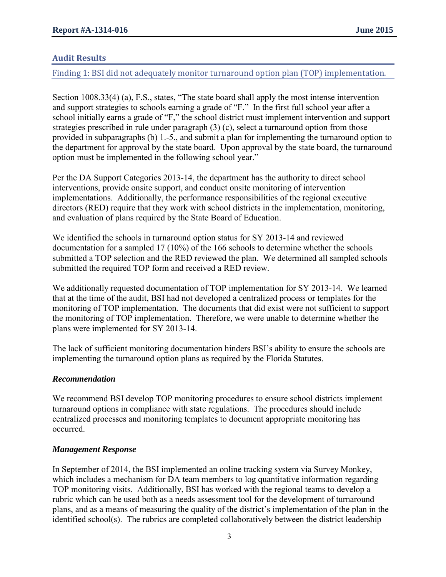## **Audit Results**

Finding 1: BSI did not adequately monitor turnaround option plan (TOP) implementation.

Section 1008.33(4) (a), F.S., states, "The state board shall apply the most intense intervention and support strategies to schools earning a grade of "F." In the first full school year after a school initially earns a grade of "F," the school district must implement intervention and support strategies prescribed in rule under paragraph (3) (c), select a turnaround option from those provided in subparagraphs (b) 1.-5., and submit a plan for implementing the turnaround option to the department for approval by the state board. Upon approval by the state board, the turnaround option must be implemented in the following school year."

Per the DA Support Categories 2013-14, the department has the authority to direct school interventions, provide onsite support, and conduct onsite monitoring of intervention implementations. Additionally, the performance responsibilities of the regional executive directors (RED) require that they work with school districts in the implementation, monitoring, and evaluation of plans required by the State Board of Education.

We identified the schools in turnaround option status for SY 2013-14 and reviewed documentation for a sampled 17 (10%) of the 166 schools to determine whether the schools submitted a TOP selection and the RED reviewed the plan. We determined all sampled schools submitted the required TOP form and received a RED review.

We additionally requested documentation of TOP implementation for SY 2013-14. We learned that at the time of the audit, BSI had not developed a centralized process or templates for the monitoring of TOP implementation. The documents that did exist were not sufficient to support the monitoring of TOP implementation. Therefore, we were unable to determine whether the plans were implemented for SY 2013-14.

The lack of sufficient monitoring documentation hinders BSI's ability to ensure the schools are implementing the turnaround option plans as required by the Florida Statutes.

#### *Recommendation*

We recommend BSI develop TOP monitoring procedures to ensure school districts implement turnaround options in compliance with state regulations. The procedures should include centralized processes and monitoring templates to document appropriate monitoring has occurred.

#### *Management Response*

In September of 2014, the BSI implemented an online tracking system via Survey Monkey, which includes a mechanism for DA team members to log quantitative information regarding TOP monitoring visits. Additionally, BSI has worked with the regional teams to develop a rubric which can be used both as a needs assessment tool for the development of turnaround plans, and as a means of measuring the quality of the district's implementation of the plan in the identified school(s). The rubrics are completed collaboratively between the district leadership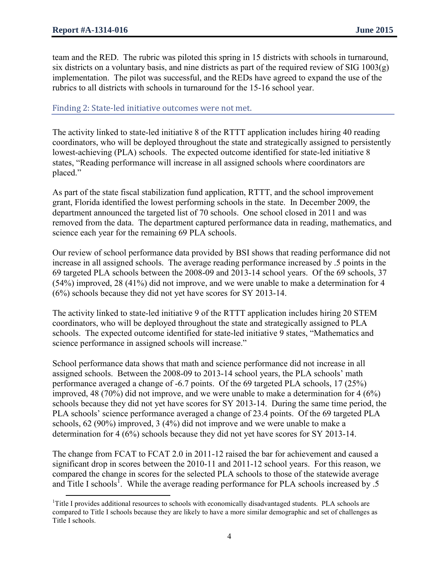team and the RED. The rubric was piloted this spring in 15 districts with schools in turnaround, six districts on a voluntary basis, and nine districts as part of the required review of SIG  $1003(g)$ implementation. The pilot was successful, and the REDs have agreed to expand the use of the rubrics to all districts with schools in turnaround for the 15-16 school year.

#### Finding 2: State-led initiative outcomes were not met.

The activity linked to state-led initiative 8 of the RTTT application includes hiring 40 reading coordinators, who will be deployed throughout the state and strategically assigned to persistently lowest-achieving (PLA) schools. The expected outcome identified for state-led initiative 8 states, "Reading performance will increase in all assigned schools where coordinators are placed."

As part of the state fiscal stabilization fund application, RTTT, and the school improvement grant, Florida identified the lowest performing schools in the state. In December 2009, the department announced the targeted list of 70 schools. One school closed in 2011 and was removed from the data. The department captured performance data in reading, mathematics, and science each year for the remaining 69 PLA schools.

Our review of school performance data provided by BSI shows that reading performance did not increase in all assigned schools. The average reading performance increased by .5 points in the 69 targeted PLA schools between the 2008-09 and 2013-14 school years. Of the 69 schools, 37 (54%) improved, 28 (41%) did not improve, and we were unable to make a determination for 4 (6%) schools because they did not yet have scores for SY 2013-14.

The activity linked to state-led initiative 9 of the RTTT application includes hiring 20 STEM coordinators, who will be deployed throughout the state and strategically assigned to PLA schools. The expected outcome identified for state-led initiative 9 states, "Mathematics and science performance in assigned schools will increase."

School performance data shows that math and science performance did not increase in all assigned schools. Between the 2008-09 to 2013-14 school years, the PLA schools' math performance averaged a change of -6.7 points. Of the 69 targeted PLA schools, 17 (25%) improved, 48 (70%) did not improve, and we were unable to make a determination for 4 (6%) schools because they did not yet have scores for SY 2013-14. During the same time period, the PLA schools' science performance averaged a change of 23.4 points. Of the 69 targeted PLA schools, 62 (90%) improved, 3 (4%) did not improve and we were unable to make a determination for 4 (6%) schools because they did not yet have scores for SY 2013-14.

The change from FCAT to FCAT 2.0 in 2011-12 raised the bar for achievement and caused a significant drop in scores between the 2010-11 and 2011-12 school years. For this reason, we compared the change in scores for the selected PLA schools to those of the statewide average and Title I schools<sup>1</sup>. While the average reading performance for PLA schools increased by  $\overline{.5}$ 

 $\overline{\phantom{a}}$ <sup>1</sup>Title I provides additional resources to schools with economically disadvantaged students. PLA schools are compared to Title I schools because they are likely to have a more similar demographic and set of challenges as Title I schools.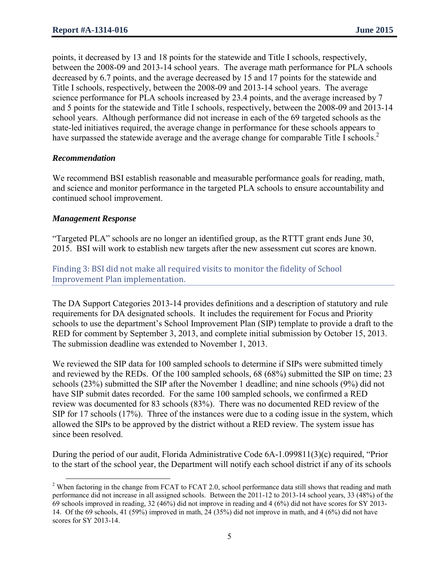points, it decreased by 13 and 18 points for the statewide and Title I schools, respectively, between the 2008-09 and 2013-14 school years. The average math performance for PLA schools decreased by 6.7 points, and the average decreased by 15 and 17 points for the statewide and Title I schools, respectively, between the 2008-09 and 2013-14 school years. The average science performance for PLA schools increased by 23.4 points, and the average increased by 7 and 5 points for the statewide and Title I schools, respectively, between the 2008-09 and 2013-14 school years. Although performance did not increase in each of the 69 targeted schools as the state-led initiatives required, the average change in performance for these schools appears to have surpassed the statewide average and the average change for comparable Title I schools.<sup>2</sup>

#### *Recommendation*

We recommend BSI establish reasonable and measurable performance goals for reading, math, and science and monitor performance in the targeted PLA schools to ensure accountability and continued school improvement.

#### *Management Response*

 $\overline{a}$ 

"Targeted PLA" schools are no longer an identified group, as the RTTT grant ends June 30, 2015. BSI will work to establish new targets after the new assessment cut scores are known.

## Finding 3: BSI did not make all required visits to monitor the fidelity of School Improvement Plan implementation.

The DA Support Categories 2013-14 provides definitions and a description of statutory and rule requirements for DA designated schools. It includes the requirement for Focus and Priority schools to use the department's School Improvement Plan (SIP) template to provide a draft to the RED for comment by September 3, 2013, and complete initial submission by October 15, 2013. The submission deadline was extended to November 1, 2013.

We reviewed the SIP data for 100 sampled schools to determine if SIPs were submitted timely and reviewed by the REDs. Of the 100 sampled schools, 68 (68%) submitted the SIP on time; 23 schools (23%) submitted the SIP after the November 1 deadline; and nine schools (9%) did not have SIP submit dates recorded. For the same 100 sampled schools, we confirmed a RED review was documented for 83 schools (83%). There was no documented RED review of the SIP for 17 schools (17%). Three of the instances were due to a coding issue in the system, which allowed the SIPs to be approved by the district without a RED review. The system issue has since been resolved.

During the period of our audit, Florida Administrative Code 6A-1.099811(3)(c) required, "Prior to the start of the school year, the Department will notify each school district if any of its schools

 $2$  When factoring in the change from FCAT to FCAT 2.0, school performance data still shows that reading and math performance did not increase in all assigned schools. Between the 2011-12 to 2013-14 school years, 33 (48%) of the 69 schools improved in reading, 32 (46%) did not improve in reading and 4 (6%) did not have scores for SY 2013- 14. Of the 69 schools, 41 (59%) improved in math, 24 (35%) did not improve in math, and 4 (6%) did not have scores for SY 2013-14.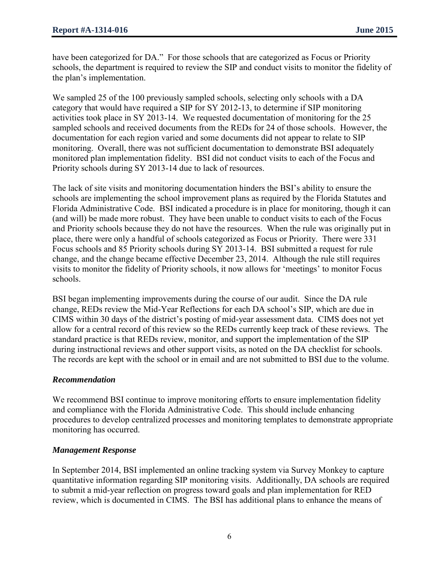have been categorized for DA." For those schools that are categorized as Focus or Priority schools, the department is required to review the SIP and conduct visits to monitor the fidelity of the plan's implementation.

We sampled 25 of the 100 previously sampled schools, selecting only schools with a DA category that would have required a SIP for SY 2012-13, to determine if SIP monitoring activities took place in SY 2013-14. We requested documentation of monitoring for the 25 sampled schools and received documents from the REDs for 24 of those schools. However, the documentation for each region varied and some documents did not appear to relate to SIP monitoring. Overall, there was not sufficient documentation to demonstrate BSI adequately monitored plan implementation fidelity. BSI did not conduct visits to each of the Focus and Priority schools during SY 2013-14 due to lack of resources.

The lack of site visits and monitoring documentation hinders the BSI's ability to ensure the schools are implementing the school improvement plans as required by the Florida Statutes and Florida Administrative Code. BSI indicated a procedure is in place for monitoring, though it can (and will) be made more robust. They have been unable to conduct visits to each of the Focus and Priority schools because they do not have the resources. When the rule was originally put in place, there were only a handful of schools categorized as Focus or Priority. There were 331 Focus schools and 85 Priority schools during SY 2013-14. BSI submitted a request for rule change, and the change became effective December 23, 2014. Although the rule still requires visits to monitor the fidelity of Priority schools, it now allows for 'meetings' to monitor Focus schools.

BSI began implementing improvements during the course of our audit. Since the DA rule change, REDs review the Mid-Year Reflections for each DA school's SIP, which are due in CIMS within 30 days of the district's posting of mid-year assessment data. CIMS does not yet allow for a central record of this review so the REDs currently keep track of these reviews. The standard practice is that REDs review, monitor, and support the implementation of the SIP during instructional reviews and other support visits, as noted on the DA checklist for schools. The records are kept with the school or in email and are not submitted to BSI due to the volume.

#### *Recommendation*

We recommend BSI continue to improve monitoring efforts to ensure implementation fidelity and compliance with the Florida Administrative Code. This should include enhancing procedures to develop centralized processes and monitoring templates to demonstrate appropriate monitoring has occurred.

#### *Management Response*

In September 2014, BSI implemented an online tracking system via Survey Monkey to capture quantitative information regarding SIP monitoring visits. Additionally, DA schools are required to submit a mid-year reflection on progress toward goals and plan implementation for RED review, which is documented in CIMS. The BSI has additional plans to enhance the means of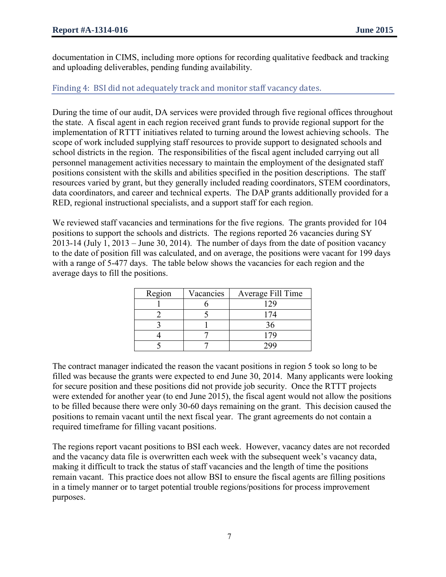documentation in CIMS, including more options for recording qualitative feedback and tracking and uploading deliverables, pending funding availability.

## Finding 4: BSI did not adequately track and monitor staff vacancy dates.

During the time of our audit, DA services were provided through five regional offices throughout the state. A fiscal agent in each region received grant funds to provide regional support for the implementation of RTTT initiatives related to turning around the lowest achieving schools. The scope of work included supplying staff resources to provide support to designated schools and school districts in the region. The responsibilities of the fiscal agent included carrying out all personnel management activities necessary to maintain the employment of the designated staff positions consistent with the skills and abilities specified in the position descriptions. The staff resources varied by grant, but they generally included reading coordinators, STEM coordinators, data coordinators, and career and technical experts. The DAP grants additionally provided for a RED, regional instructional specialists, and a support staff for each region.

We reviewed staff vacancies and terminations for the five regions. The grants provided for 104 positions to support the schools and districts. The regions reported 26 vacancies during SY 2013-14 (July 1, 2013 – June 30, 2014). The number of days from the date of position vacancy to the date of position fill was calculated, and on average, the positions were vacant for 199 days with a range of 5-477 days. The table below shows the vacancies for each region and the average days to fill the positions.

| Region | Average Fill Time<br>Vacancies |     |  |  |
|--------|--------------------------------|-----|--|--|
|        |                                | 129 |  |  |
|        |                                | 174 |  |  |
|        |                                | 36  |  |  |
|        |                                | 179 |  |  |
|        |                                |     |  |  |

The contract manager indicated the reason the vacant positions in region 5 took so long to be filled was because the grants were expected to end June 30, 2014. Many applicants were looking for secure position and these positions did not provide job security. Once the RTTT projects were extended for another year (to end June 2015), the fiscal agent would not allow the positions to be filled because there were only 30-60 days remaining on the grant. This decision caused the positions to remain vacant until the next fiscal year. The grant agreements do not contain a required timeframe for filling vacant positions.

The regions report vacant positions to BSI each week. However, vacancy dates are not recorded and the vacancy data file is overwritten each week with the subsequent week's vacancy data, making it difficult to track the status of staff vacancies and the length of time the positions remain vacant. This practice does not allow BSI to ensure the fiscal agents are filling positions in a timely manner or to target potential trouble regions/positions for process improvement purposes.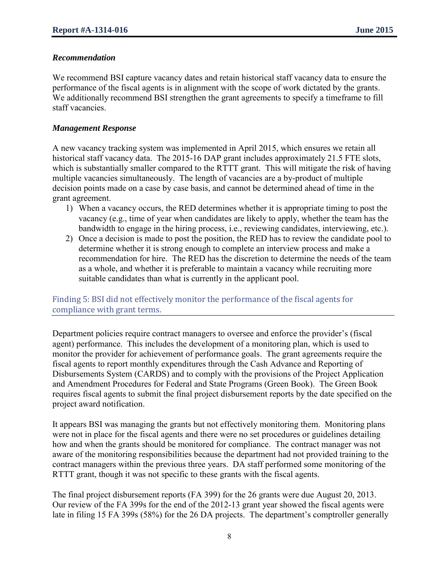#### *Recommendation*

We recommend BSI capture vacancy dates and retain historical staff vacancy data to ensure the performance of the fiscal agents is in alignment with the scope of work dictated by the grants. We additionally recommend BSI strengthen the grant agreements to specify a timeframe to fill staff vacancies.

#### *Management Response*

A new vacancy tracking system was implemented in April 2015, which ensures we retain all historical staff vacancy data. The 2015-16 DAP grant includes approximately 21.5 FTE slots, which is substantially smaller compared to the RTTT grant. This will mitigate the risk of having multiple vacancies simultaneously. The length of vacancies are a by-product of multiple decision points made on a case by case basis, and cannot be determined ahead of time in the grant agreement.

- 1) When a vacancy occurs, the RED determines whether it is appropriate timing to post the vacancy (e.g., time of year when candidates are likely to apply, whether the team has the bandwidth to engage in the hiring process, i.e., reviewing candidates, interviewing, etc.).
- 2) Once a decision is made to post the position, the RED has to review the candidate pool to determine whether it is strong enough to complete an interview process and make a recommendation for hire. The RED has the discretion to determine the needs of the team as a whole, and whether it is preferable to maintain a vacancy while recruiting more suitable candidates than what is currently in the applicant pool.

#### Finding 5: BSI did not effectively monitor the performance of the fiscal agents for compliance with grant terms.

Department policies require contract managers to oversee and enforce the provider's (fiscal agent) performance. This includes the development of a monitoring plan, which is used to monitor the provider for achievement of performance goals. The grant agreements require the fiscal agents to report monthly expenditures through the Cash Advance and Reporting of Disbursements System (CARDS) and to comply with the provisions of the Project Application and Amendment Procedures for Federal and State Programs (Green Book). The Green Book requires fiscal agents to submit the final project disbursement reports by the date specified on the project award notification.

It appears BSI was managing the grants but not effectively monitoring them. Monitoring plans were not in place for the fiscal agents and there were no set procedures or guidelines detailing how and when the grants should be monitored for compliance. The contract manager was not aware of the monitoring responsibilities because the department had not provided training to the contract managers within the previous three years. DA staff performed some monitoring of the RTTT grant, though it was not specific to these grants with the fiscal agents.

The final project disbursement reports (FA 399) for the 26 grants were due August 20, 2013. Our review of the FA 399s for the end of the 2012-13 grant year showed the fiscal agents were late in filing 15 FA 399s (58%) for the 26 DA projects. The department's comptroller generally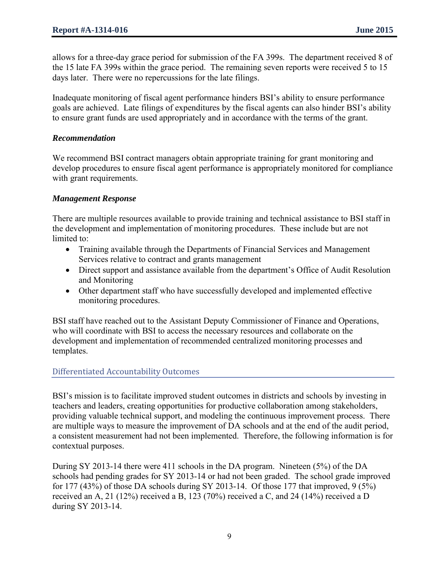allows for a three-day grace period for submission of the FA 399s. The department received 8 of the 15 late FA 399s within the grace period. The remaining seven reports were received 5 to 15 days later. There were no repercussions for the late filings.

Inadequate monitoring of fiscal agent performance hinders BSI's ability to ensure performance goals are achieved. Late filings of expenditures by the fiscal agents can also hinder BSI's ability to ensure grant funds are used appropriately and in accordance with the terms of the grant.

#### *Recommendation*

We recommend BSI contract managers obtain appropriate training for grant monitoring and develop procedures to ensure fiscal agent performance is appropriately monitored for compliance with grant requirements.

#### *Management Response*

There are multiple resources available to provide training and technical assistance to BSI staff in the development and implementation of monitoring procedures. These include but are not limited to:

- Training available through the Departments of Financial Services and Management Services relative to contract and grants management
- Direct support and assistance available from the department's Office of Audit Resolution and Monitoring
- Other department staff who have successfully developed and implemented effective monitoring procedures.

BSI staff have reached out to the Assistant Deputy Commissioner of Finance and Operations, who will coordinate with BSI to access the necessary resources and collaborate on the development and implementation of recommended centralized monitoring processes and templates.

#### Differentiated Accountability Outcomes

BSI's mission is to facilitate improved student outcomes in districts and schools by investing in teachers and leaders, creating opportunities for productive collaboration among stakeholders, providing valuable technical support, and modeling the continuous improvement process. There are multiple ways to measure the improvement of DA schools and at the end of the audit period, a consistent measurement had not been implemented. Therefore, the following information is for contextual purposes.

During SY 2013-14 there were 411 schools in the DA program. Nineteen (5%) of the DA schools had pending grades for SY 2013-14 or had not been graded. The school grade improved for 177 (43%) of those DA schools during SY 2013-14. Of those 177 that improved,  $9(5\%)$ received an A, 21 (12%) received a B, 123 (70%) received a C, and 24 (14%) received a D during SY 2013-14.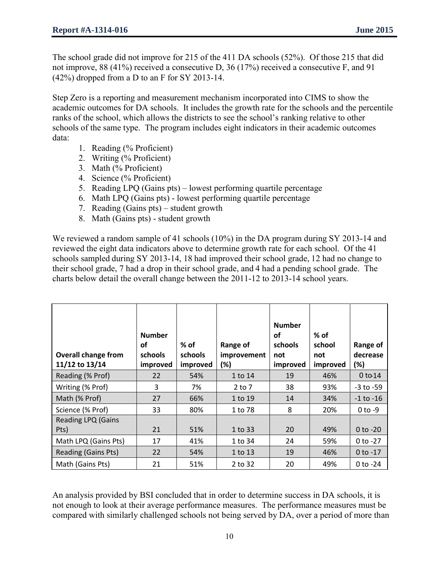The school grade did not improve for 215 of the 411 DA schools (52%). Of those 215 that did not improve, 88 (41%) received a consecutive D, 36 (17%) received a consecutive F, and 91 (42%) dropped from a D to an F for SY 2013-14.

Step Zero is a reporting and measurement mechanism incorporated into CIMS to show the academic outcomes for DA schools. It includes the growth rate for the schools and the percentile ranks of the school, which allows the districts to see the school's ranking relative to other schools of the same type. The program includes eight indicators in their academic outcomes data:

- 1. Reading (% Proficient)
- 2. Writing (% Proficient)
- 3. Math (% Proficient)
- 4. Science (% Proficient)
- 5. Reading LPQ (Gains pts) lowest performing quartile percentage
- 6. Math LPQ (Gains pts) lowest performing quartile percentage
- 7. Reading (Gains pts) student growth
- 8. Math (Gains pts) student growth

We reviewed a random sample of 41 schools (10%) in the DA program during SY 2013-14 and reviewed the eight data indicators above to determine growth rate for each school. Of the 41 schools sampled during SY 2013-14, 18 had improved their school grade, 12 had no change to their school grade, 7 had a drop in their school grade, and 4 had a pending school grade. The charts below detail the overall change between the 2011-12 to 2013-14 school years.

| <b>Overall change from</b><br>11/12 to 13/14 | <b>Number</b><br>οf<br><b>schools</b><br>improved | $%$ of<br>schools<br>improved | Range of<br>improvement<br>(%) | <b>Number</b><br><b>of</b><br>schools<br>not<br>improved | $%$ of<br>school<br>not<br>improved | Range of<br>decrease<br>(%) |
|----------------------------------------------|---------------------------------------------------|-------------------------------|--------------------------------|----------------------------------------------------------|-------------------------------------|-----------------------------|
| Reading (% Prof)                             | 22                                                | 54%                           | 1 to 14                        | 19                                                       | 46%                                 | $0$ to $14$                 |
| Writing (% Prof)                             | 3                                                 | 7%                            | $2$ to $7$                     | 38                                                       | 93%                                 | $-3$ to $-59$               |
| Math (% Prof)                                | 27                                                | 66%                           | 1 to 19                        | 14                                                       | 34%                                 | $-1$ to $-16$               |
| Science (% Prof)                             | 33                                                | 80%                           | 1 to 78                        | 8                                                        | 20%                                 | $0$ to $-9$                 |
| <b>Reading LPQ (Gains</b><br>Pts)            | 21                                                | 51%                           | 1 to 33                        | 20                                                       | 49%                                 | $0$ to $-20$                |
| Math LPQ (Gains Pts)                         | 17                                                | 41%                           | 1 to 34                        | 24                                                       | 59%                                 | $0$ to -27                  |
| <b>Reading (Gains Pts)</b>                   | 22                                                | 54%                           | 1 to 13                        | 19                                                       | 46%                                 | $0$ to $-17$                |
| Math (Gains Pts)                             | 21                                                | 51%                           | 2 to 32                        | 20                                                       | 49%                                 | $0$ to -24                  |

An analysis provided by BSI concluded that in order to determine success in DA schools, it is not enough to look at their average performance measures. The performance measures must be compared with similarly challenged schools not being served by DA, over a period of more than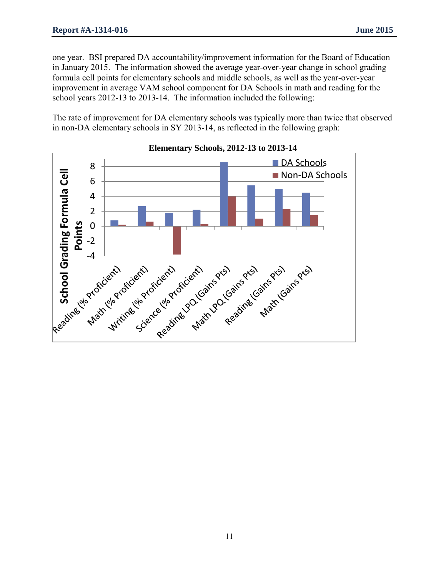one year. BSI prepared DA accountability/improvement information for the Board of Education in January 2015. The information showed the average year-over-year change in school grading formula cell points for elementary schools and middle schools, as well as the year-over-year improvement in average VAM school component for DA Schools in math and reading for the school years 2012-13 to 2013-14. The information included the following:

The rate of improvement for DA elementary schools was typically more than twice that observed in non-DA elementary schools in SY 2013-14, as reflected in the following graph:



#### **Elementary Schools, 2012-13 to 2013-14**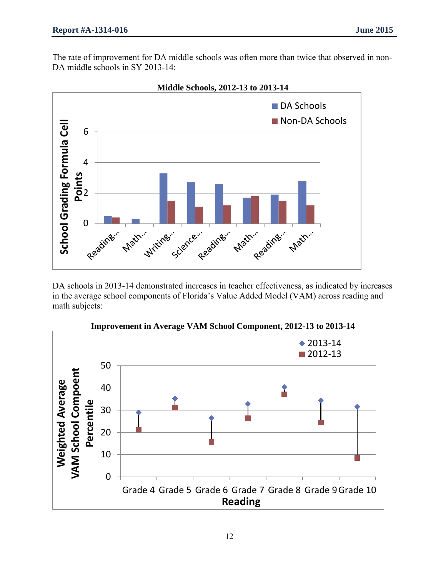The rate of improvement for DA middle schools was often more than twice that observed in non-DA middle schools in SY 2013-14:



DA schools in 2013-14 demonstrated increases in teacher effectiveness, as indicated by increases in the average school components of Florida's Value Added Model (VAM) across reading and math subjects:



**Improvement in Average VAM School Component, 2012-13 to 2013-14**